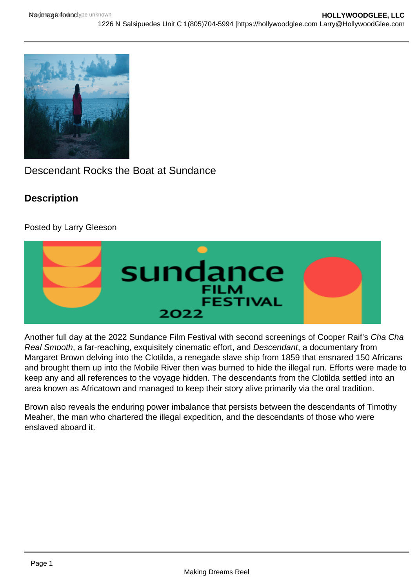## Descendant Rocks the Boat at Sundance

**Description** 

Posted by Larry Gleeson

Another full day at the 2022 Sundance Film Festival with second screenings of Cooper Raif's Cha Cha Real Smooth, a far-reaching, exquisitely cinematic effort, and Descendant, a documentary from Margaret Brown delving into the Clotilda, a renegade slave ship from 1859 that ensnared 150 Africans and brought them up into the Mobile River then was burned to hide the illegal run. Efforts were made to keep any and all references to the voyage hidden. The descendants from the Clotilda settled into an area known as Africatown and managed to keep their story alive primarily via the oral tradition.

Brown also reveals the enduring power imbalance that persists between the descendants of Timothy Meaher, the man who chartered the illegal expedition, and the descendants of those who were enslaved aboard it.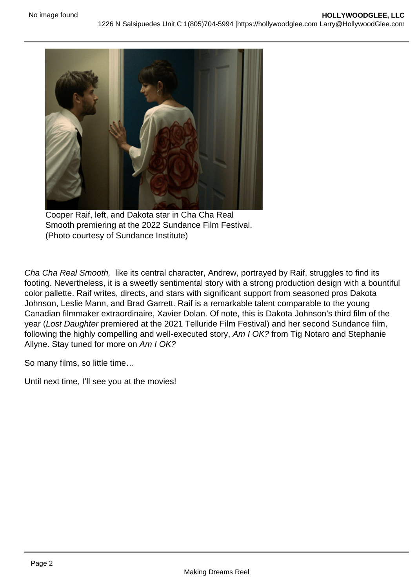Cooper Raif, left, and Dakota star in Cha Cha Real Smooth premiering at the 2022 Sundance Film Festival. (Photo courtesy of Sundance Institute)

Cha Cha Real Smooth, like its central character, Andrew, portrayed by Raif, struggles to find its footing. Nevertheless, it is a sweetly sentimental story with a strong production design with a bountiful color pallette. Raif writes, directs, and stars with significant support from seasoned pros Dakota Johnson, Leslie Mann, and Brad Garrett. Raif is a remarkable talent comparable to the young Canadian filmmaker extraordinaire, Xavier Dolan. Of note, this is Dakota Johnson's third film of the year (Lost Daughter premiered at the 2021 Telluride Film Festival) and her second Sundance film, following the highly compelling and well-executed story, Am I OK? from Tig Notaro and Stephanie Allyne. Stay tuned for more on Am I OK?

So many films, so little time…

Until next time, I'll see you at the movies!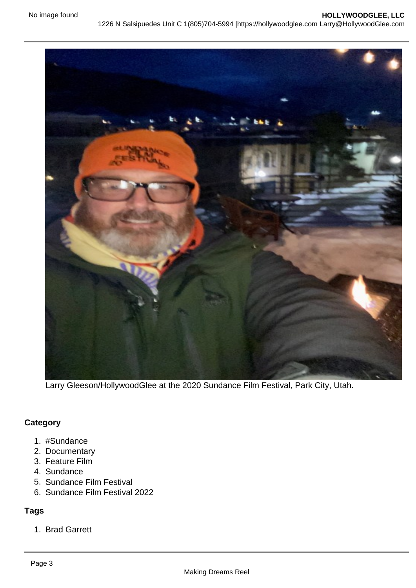Larry Gleeson/HollywoodGlee at the 2020 Sundance Film Festival, Park City, Utah.

## **Category**

- 1. #Sundance
- 2. Documentary
- 3. Feature Film
- 4. Sundance
- 5. Sundance Film Festival
- 6. Sundance Film Festival 2022

## Tags

1. Brad Garrett